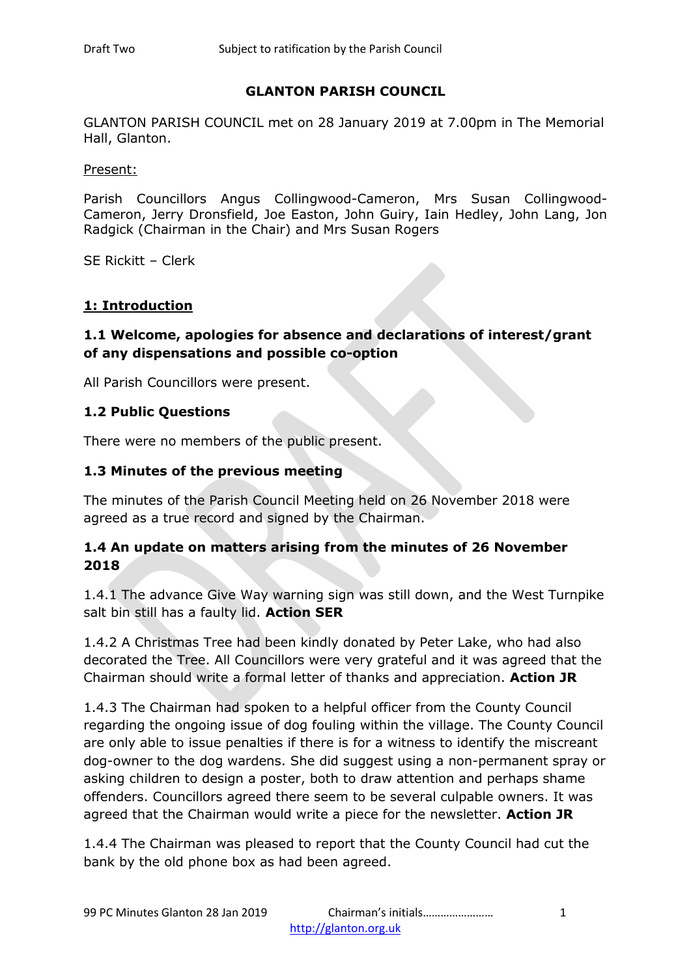### **GLANTON PARISH COUNCIL**

GLANTON PARISH COUNCIL met on 28 January 2019 at 7.00pm in The Memorial Hall, Glanton.

Present:

Parish Councillors Angus Collingwood-Cameron, Mrs Susan Collingwood-Cameron, Jerry Dronsfield, Joe Easton, John Guiry, Iain Hedley, John Lang, Jon Radgick (Chairman in the Chair) and Mrs Susan Rogers

SE Rickitt – Clerk

#### **1: Introduction**

### **1.1 Welcome, apologies for absence and declarations of interest/grant of any dispensations and possible co-option**

All Parish Councillors were present.

#### **1.2 Public Questions**

There were no members of the public present.

#### **1.3 Minutes of the previous meeting**

The minutes of the Parish Council Meeting held on 26 November 2018 were agreed as a true record and signed by the Chairman.

#### **1.4 An update on matters arising from the minutes of 26 November 2018**

1.4.1 The advance Give Way warning sign was still down, and the West Turnpike salt bin still has a faulty lid. **Action SER** 

1.4.2 A Christmas Tree had been kindly donated by Peter Lake, who had also decorated the Tree. All Councillors were very grateful and it was agreed that the Chairman should write a formal letter of thanks and appreciation. **Action JR**

1.4.3 The Chairman had spoken to a helpful officer from the County Council regarding the ongoing issue of dog fouling within the village. The County Council are only able to issue penalties if there is for a witness to identify the miscreant dog-owner to the dog wardens. She did suggest using a non-permanent spray or asking children to design a poster, both to draw attention and perhaps shame offenders. Councillors agreed there seem to be several culpable owners. It was agreed that the Chairman would write a piece for the newsletter. **Action JR**

1.4.4 The Chairman was pleased to report that the County Council had cut the bank by the old phone box as had been agreed.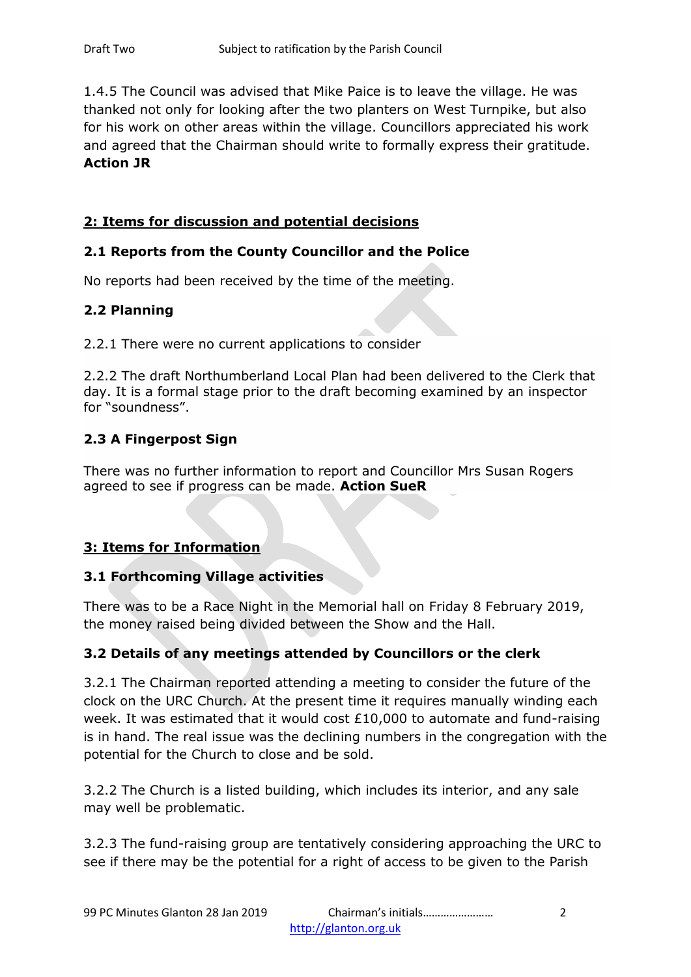1.4.5 The Council was advised that Mike Paice is to leave the village. He was thanked not only for looking after the two planters on West Turnpike, but also for his work on other areas within the village. Councillors appreciated his work and agreed that the Chairman should write to formally express their gratitude. **Action JR** 

# **2: Items for discussion and potential decisions**

# **2.1 Reports from the County Councillor and the Police**

No reports had been received by the time of the meeting.

# **2.2 Planning**

2.2.1 There were no current applications to consider

2.2.2 The draft Northumberland Local Plan had been delivered to the Clerk that day. It is a formal stage prior to the draft becoming examined by an inspector for "soundness".

# **2.3 A Fingerpost Sign**

There was no further information to report and Councillor Mrs Susan Rogers agreed to see if progress can be made. **Action SueR**

# **3: Items for Information**

# **3.1 Forthcoming Village activities**

There was to be a Race Night in the Memorial hall on Friday 8 February 2019, the money raised being divided between the Show and the Hall.

# **3.2 Details of any meetings attended by Councillors or the clerk**

3.2.1 The Chairman reported attending a meeting to consider the future of the clock on the URC Church. At the present time it requires manually winding each week. It was estimated that it would cost  $£10,000$  to automate and fund-raising is in hand. The real issue was the declining numbers in the congregation with the potential for the Church to close and be sold.

3.2.2 The Church is a listed building, which includes its interior, and any sale may well be problematic.

3.2.3 The fund-raising group are tentatively considering approaching the URC to see if there may be the potential for a right of access to be given to the Parish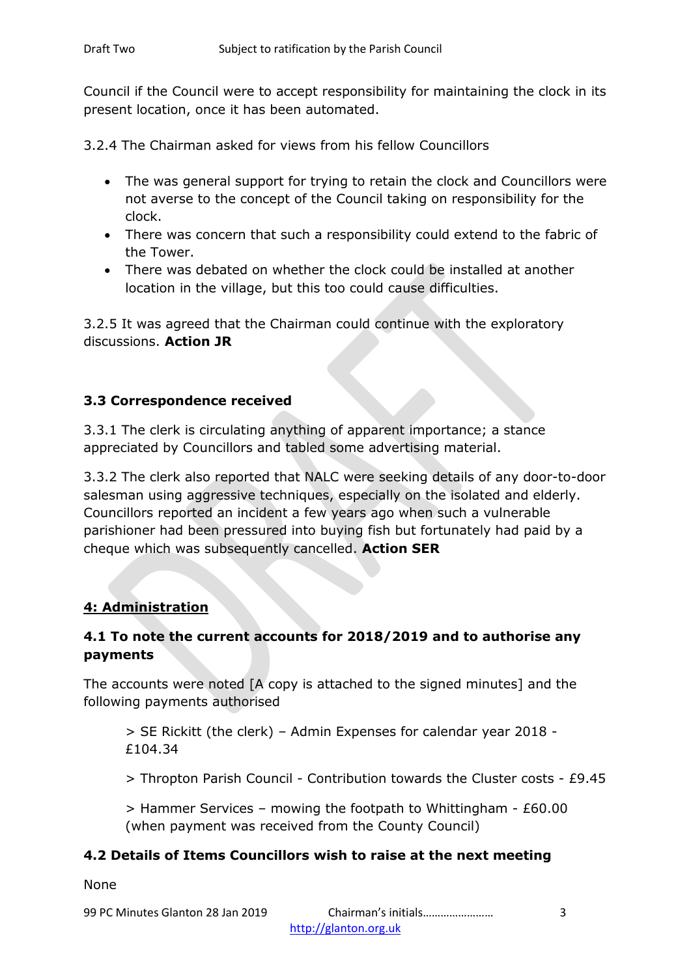Council if the Council were to accept responsibility for maintaining the clock in its present location, once it has been automated.

3.2.4 The Chairman asked for views from his fellow Councillors

- The was general support for trying to retain the clock and Councillors were not averse to the concept of the Council taking on responsibility for the clock.
- There was concern that such a responsibility could extend to the fabric of the Tower.
- There was debated on whether the clock could be installed at another location in the village, but this too could cause difficulties.

3.2.5 It was agreed that the Chairman could continue with the exploratory discussions. **Action JR**

# **3.3 Correspondence received**

3.3.1 The clerk is circulating anything of apparent importance; a stance appreciated by Councillors and tabled some advertising material.

3.3.2 The clerk also reported that NALC were seeking details of any door-to-door salesman using aggressive techniques, especially on the isolated and elderly. Councillors reported an incident a few years ago when such a vulnerable parishioner had been pressured into buying fish but fortunately had paid by a cheque which was subsequently cancelled. **Action SER**

# **4: Administration**

# **4.1 To note the current accounts for 2018/2019 and to authorise any payments**

The accounts were noted [A copy is attached to the signed minutes] and the following payments authorised

> SE Rickitt (the clerk) – Admin Expenses for calendar year 2018 - £104.34

> Thropton Parish Council - Contribution towards the Cluster costs - £9.45

 $>$  Hammer Services – mowing the footpath to Whittingham - £60.00 (when payment was received from the County Council)

# **4.2 Details of Items Councillors wish to raise at the next meeting**

None